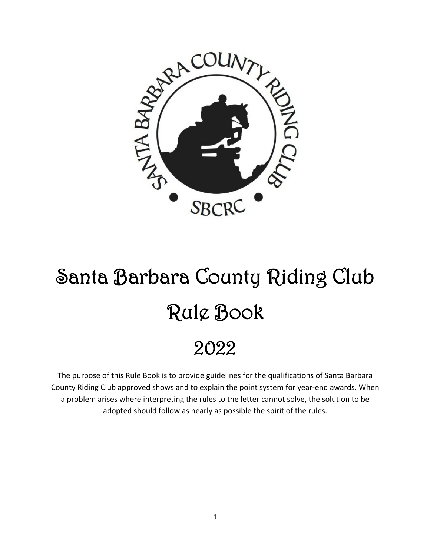

# Santa Barbara County Riding Club Rule Book 2022

The purpose of this Rule Book is to provide guidelines for the qualifications of Santa Barbara County Riding Club approved shows and to explain the point system for year-end awards. When a problem arises where interpreting the rules to the letter cannot solve, the solution to be adopted should follow as nearly as possible the spirit of the rules.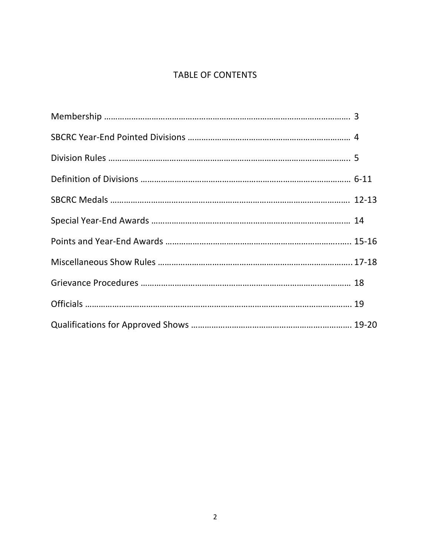# TABLE OF CONTENTS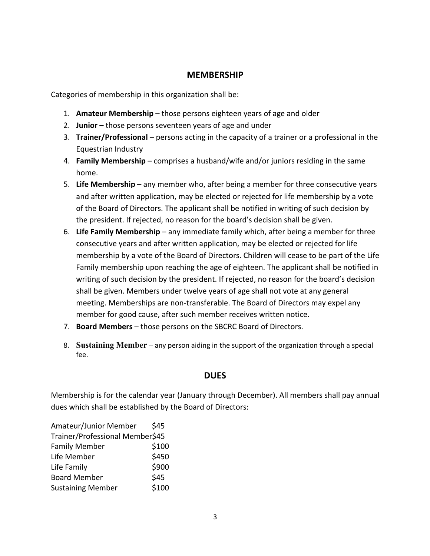## **MEMBERSHIP**

Categories of membership in this organization shall be:

- 1. **Amateur Membership** those persons eighteen years of age and older
- 2. **Junior** those persons seventeen years of age and under
- 3. **Trainer/Professional**  persons acting in the capacity of a trainer or a professional in the Equestrian Industry
- 4. **Family Membership** comprises a husband/wife and/or juniors residing in the same home.
- 5. **Life Membership** any member who, after being a member for three consecutive years and after written application, may be elected or rejected for life membership by a vote of the Board of Directors. The applicant shall be notified in writing of such decision by the president. If rejected, no reason for the board's decision shall be given.
- 6. **Life Family Membership** any immediate family which, after being a member for three consecutive years and after written application, may be elected or rejected for life membership by a vote of the Board of Directors. Children will cease to be part of the Life Family membership upon reaching the age of eighteen. The applicant shall be notified in writing of such decision by the president. If rejected, no reason for the board's decision shall be given. Members under twelve years of age shall not vote at any general meeting. Memberships are non-transferable. The Board of Directors may expel any member for good cause, after such member receives written notice.
- 7. **Board Members** those persons on the SBCRC Board of Directors.
- 8. **Sustaining Member** any person aiding in the support of the organization through a special fee.

## **DUES**

Membership is for the calendar year (January through December). All members shall pay annual dues which shall be established by the Board of Directors:

| Amateur/Junior Member           | \$45  |  |
|---------------------------------|-------|--|
| Trainer/Professional Member\$45 |       |  |
| <b>Family Member</b>            | \$100 |  |
| Life Member                     | \$450 |  |
| Life Family                     | \$900 |  |
| <b>Board Member</b>             | \$45  |  |
| <b>Sustaining Member</b>        | \$100 |  |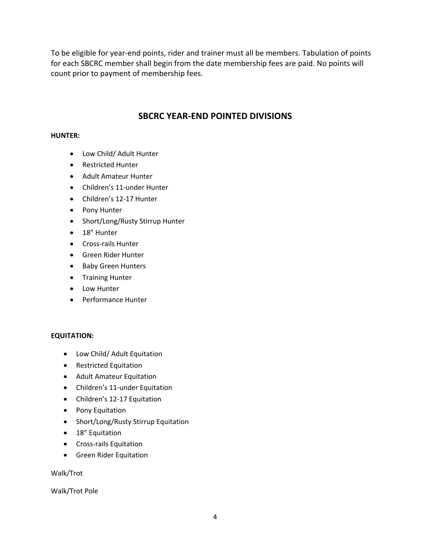To be eligible for year-end points, rider and trainer must all be members. Tabulation of points for each SBCRC member shall begin from the date membership fees are paid. No points will count prior to payment of membership fees.

# **SBCRC YEAR-END POINTED DIVISIONS**

#### **HUNTER:**

- Low Child/ Adult Hunter
- Restricted Hunter
- Adult Amateur Hunter
- Children's 11-under Hunter
- Children's 12-17 Hunter
- Pony Hunter
- Short/Long/Rusty Stirrup Hunter
- 18" Hunter
- Cross-rails Hunter
- Green Rider Hunter
- Baby Green Hunters
- Training Hunter
- Low Hunter
- Performance Hunter

## **EQUITATION:**

- Low Child/ Adult Equitation
- Restricted Equitation
- Adult Amateur Equitation
- Children's 11-under Equitation
- Children's 12-17 Equitation
- Pony Equitation
- Short/Long/Rusty Stirrup Equitation
- 18" Equitation
- Cross-rails Equitation
- Green Rider Equitation

Walk/Trot

Walk/Trot Pole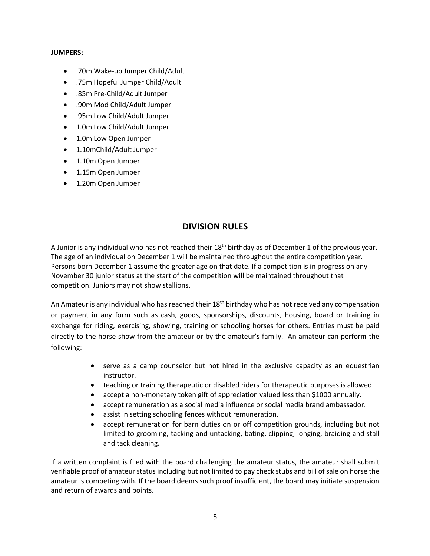#### **JUMPERS:**

- .70m Wake-up Jumper Child/Adult
- .75m Hopeful Jumper Child/Adult
- .85m Pre-Child/Adult Jumper
- .90m Mod Child/Adult Jumper
- .95m Low Child/Adult Jumper
- 1.0m Low Child/Adult Jumper
- 1.0m Low Open Jumper
- 1.10mChild/Adult Jumper
- 1.10m Open Jumper
- 1.15m Open Jumper
- 1.20m Open Jumper

## **DIVISION RULES**

A Junior is any individual who has not reached their 18<sup>th</sup> birthday as of December 1 of the previous year. The age of an individual on December 1 will be maintained throughout the entire competition year. Persons born December 1 assume the greater age on that date. If a competition is in progress on any November 30 junior status at the start of the competition will be maintained throughout that competition. Juniors may not show stallions.

An Amateur is any individual who has reached their  $18<sup>th</sup>$  birthday who has not received any compensation or payment in any form such as cash, goods, sponsorships, discounts, housing, board or training in exchange for riding, exercising, showing, training or schooling horses for others. Entries must be paid directly to the horse show from the amateur or by the amateur's family. An amateur can perform the following:

- serve as a camp counselor but not hired in the exclusive capacity as an equestrian instructor.
- teaching or training therapeutic or disabled riders for therapeutic purposes is allowed.
- accept a non-monetary token gift of appreciation valued less than \$1000 annually.
- accept remuneration as a social media influence or social media brand ambassador.
- assist in setting schooling fences without remuneration.
- accept remuneration for barn duties on or off competition grounds, including but not limited to grooming, tacking and untacking, bating, clipping, longing, braiding and stall and tack cleaning.

If a written complaint is filed with the board challenging the amateur status, the amateur shall submit verifiable proof of amateur status including but not limited to pay check stubs and bill of sale on horse the amateur is competing with. If the board deems such proof insufficient, the board may initiate suspension and return of awards and points.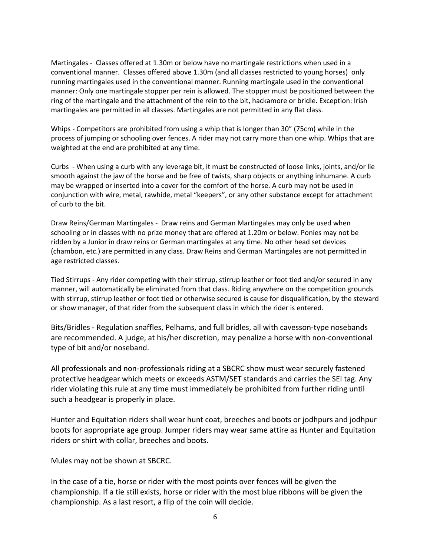Martingales - Classes offered at 1.30m or below have no martingale restrictions when used in a conventional manner. Classes offered above 1.30m (and all classes restricted to young horses) only running martingales used in the conventional manner. Running martingale used in the conventional manner: Only one martingale stopper per rein is allowed. The stopper must be positioned between the ring of the martingale and the attachment of the rein to the bit, hackamore or bridle. Exception: Irish martingales are permitted in all classes. Martingales are not permitted in any flat class.

Whips - Competitors are prohibited from using a whip that is longer than 30" (75cm) while in the process of jumping or schooling over fences. A rider may not carry more than one whip. Whips that are weighted at the end are prohibited at any time.

Curbs - When using a curb with any leverage bit, it must be constructed of loose links, joints, and/or lie smooth against the jaw of the horse and be free of twists, sharp objects or anything inhumane. A curb may be wrapped or inserted into a cover for the comfort of the horse. A curb may not be used in conjunction with wire, metal, rawhide, metal "keepers", or any other substance except for attachment of curb to the bit.

Draw Reins/German Martingales - Draw reins and German Martingales may only be used when schooling or in classes with no prize money that are offered at 1.20m or below. Ponies may not be ridden by a Junior in draw reins or German martingales at any time. No other head set devices (chambon, etc.) are permitted in any class. Draw Reins and German Martingales are not permitted in age restricted classes.

Tied Stirrups - Any rider competing with their stirrup, stirrup leather or foot tied and/or secured in any manner, will automatically be eliminated from that class. Riding anywhere on the competition grounds with stirrup, stirrup leather or foot tied or otherwise secured is cause for disqualification, by the steward or show manager, of that rider from the subsequent class in which the rider is entered.

Bits/Bridles - Regulation snaffles, Pelhams, and full bridles, all with cavesson-type nosebands are recommended. A judge, at his/her discretion, may penalize a horse with non-conventional type of bit and/or noseband.

All professionals and non-professionals riding at a SBCRC show must wear securely fastened protective headgear which meets or exceeds ASTM/SET standards and carries the SEI tag. Any rider violating this rule at any time must immediately be prohibited from further riding until such a headgear is properly in place.

Hunter and Equitation riders shall wear hunt coat, breeches and boots or jodhpurs and jodhpur boots for appropriate age group. Jumper riders may wear same attire as Hunter and Equitation riders or shirt with collar, breeches and boots.

Mules may not be shown at SBCRC.

In the case of a tie, horse or rider with the most points over fences will be given the championship. If a tie still exists, horse or rider with the most blue ribbons will be given the championship. As a last resort, a flip of the coin will decide.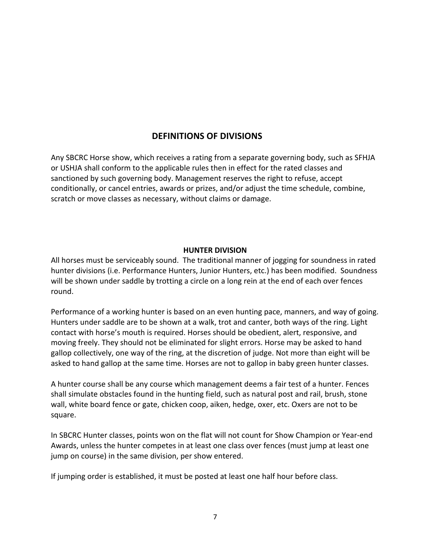# **DEFINITIONS OF DIVISIONS**

Any SBCRC Horse show, which receives a rating from a separate governing body, such as SFHJA or USHJA shall conform to the applicable rules then in effect for the rated classes and sanctioned by such governing body. Management reserves the right to refuse, accept conditionally, or cancel entries, awards or prizes, and/or adjust the time schedule, combine, scratch or move classes as necessary, without claims or damage.

## **HUNTER DIVISION**

All horses must be serviceably sound. The traditional manner of jogging for soundness in rated hunter divisions (i.e. Performance Hunters, Junior Hunters, etc.) has been modified. Soundness will be shown under saddle by trotting a circle on a long rein at the end of each over fences round.

Performance of a working hunter is based on an even hunting pace, manners, and way of going. Hunters under saddle are to be shown at a walk, trot and canter, both ways of the ring. Light contact with horse's mouth is required. Horses should be obedient, alert, responsive, and moving freely. They should not be eliminated for slight errors. Horse may be asked to hand gallop collectively, one way of the ring, at the discretion of judge. Not more than eight will be asked to hand gallop at the same time. Horses are not to gallop in baby green hunter classes.

A hunter course shall be any course which management deems a fair test of a hunter. Fences shall simulate obstacles found in the hunting field, such as natural post and rail, brush, stone wall, white board fence or gate, chicken coop, aiken, hedge, oxer, etc. Oxers are not to be square.

In SBCRC Hunter classes, points won on the flat will not count for Show Champion or Year-end Awards, unless the hunter competes in at least one class over fences (must jump at least one jump on course) in the same division, per show entered.

If jumping order is established, it must be posted at least one half hour before class.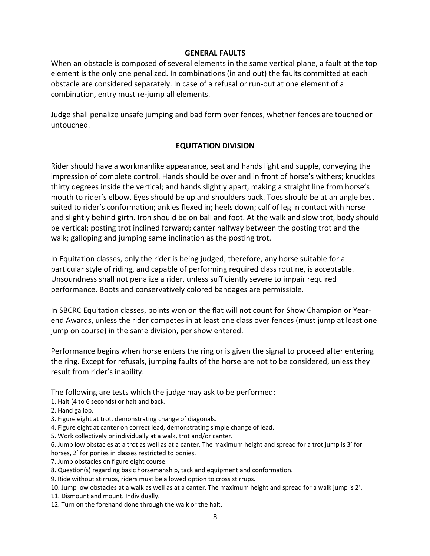#### **GENERAL FAULTS**

When an obstacle is composed of several elements in the same vertical plane, a fault at the top element is the only one penalized. In combinations (in and out) the faults committed at each obstacle are considered separately. In case of a refusal or run-out at one element of a combination, entry must re-jump all elements.

Judge shall penalize unsafe jumping and bad form over fences, whether fences are touched or untouched.

## **EQUITATION DIVISION**

Rider should have a workmanlike appearance, seat and hands light and supple, conveying the impression of complete control. Hands should be over and in front of horse's withers; knuckles thirty degrees inside the vertical; and hands slightly apart, making a straight line from horse's mouth to rider's elbow. Eyes should be up and shoulders back. Toes should be at an angle best suited to rider's conformation; ankles flexed in; heels down; calf of leg in contact with horse and slightly behind girth. Iron should be on ball and foot. At the walk and slow trot, body should be vertical; posting trot inclined forward; canter halfway between the posting trot and the walk; galloping and jumping same inclination as the posting trot.

In Equitation classes, only the rider is being judged; therefore, any horse suitable for a particular style of riding, and capable of performing required class routine, is acceptable. Unsoundness shall not penalize a rider, unless sufficiently severe to impair required performance. Boots and conservatively colored bandages are permissible.

In SBCRC Equitation classes, points won on the flat will not count for Show Champion or Yearend Awards, unless the rider competes in at least one class over fences (must jump at least one jump on course) in the same division, per show entered.

Performance begins when horse enters the ring or is given the signal to proceed after entering the ring. Except for refusals, jumping faults of the horse are not to be considered, unless they result from rider's inability.

The following are tests which the judge may ask to be performed:

- 1. Halt (4 to 6 seconds) or halt and back.
- 2. Hand gallop.
- 3. Figure eight at trot, demonstrating change of diagonals.
- 4. Figure eight at canter on correct lead, demonstrating simple change of lead.
- 5. Work collectively or individually at a walk, trot and/or canter.
- 6. Jump low obstacles at a trot as well as at a canter. The maximum height and spread for a trot jump is 3' for
- horses, 2' for ponies in classes restricted to ponies.
- 7. Jump obstacles on figure eight course.
- 8. Question(s) regarding basic horsemanship, tack and equipment and conformation.
- 9. Ride without stirrups, riders must be allowed option to cross stirrups.
- 10. Jump low obstacles at a walk as well as at a canter. The maximum height and spread for a walk jump is 2'.
- 11. Dismount and mount. Individually.
- 12. Turn on the forehand done through the walk or the halt.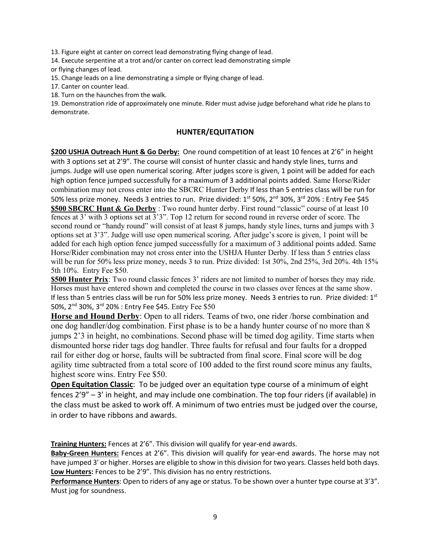13. Figure eight at canter on correct lead demonstrating flying change of lead.

14. Execute serpentine at a trot and/or canter on correct lead demonstrating simple or flying changes of lead.

15. Change leads on a line demonstrating a simple or flying change of lead.

17. Canter on counter lead.

18. Turn on the haunches from the walk.

19. Demonstration ride of approximately one minute. Rider must advise judge beforehand what ride he plans to demonstrate.

#### **HUNTER/EQUITATION**

**\$200 USHJA Outreach Hunt & Go Derby:** One round competition of at least 10 fences at 2'6" in height with 3 options set at 2'9". The course will consist of hunter classic and handy style lines, turns and jumps. Judge will use open numerical scoring. After judges score is given, 1 point will be added for each high option fence jumped successfully for a maximum of 3 additional points added. Same Horse/Rider combination may not cross enter into the SBCRC Hunter Derby If less than 5 entries class will be run for 50% less prize money. Needs 3 entries to run. Prize divided: 1<sup>st</sup> 50%, 2<sup>nd</sup> 30%, 3<sup>rd</sup> 20% : Entry Fee \$45 **\$500 SBCRC Hunt & Go Derby** : Two round hunter derby. First round "classic" course of at least 10 fences at 3' with 3 options set at 3'3". Top 12 return for second round in reverse order of score. The second round or "handy round" will consist of at least 8 jumps, handy style lines, turns and jumps with 3 options set at 3'3". Judge will use open numerical scoring. After judge's score is given, 1 point will be added for each high option fence jumped successfully for a maximum of 3 additional points added. Same Horse/Rider combination may not cross enter into the USHJA Hunter Derby. If less than 5 entries class will be run for 50% less prize money, needs 3 to run. Prize divided: 1st 30%, 2nd 25%, 3rd 20%. 4th 15% 5th 10%. Entry Fee \$50.

**\$500 Hunter Prix**: Two round classic fences 3' riders are not limited to number of horses they may ride. Horses must have entered shown and completed the course in two classes over fences at the same show. If less than 5 entries class will be run for 50% less prize money. Needs 3 entries to run. Prize divided: 1st 50%, 2nd 30%, 3rd 20% : Entry Fee \$45. Entry Fee \$50

**Horse and Hound Derby**: Open to all riders. Teams of two, one rider /horse combination and one dog handler/dog combination. First phase is to be a handy hunter course of no more than 8 jumps 2'3 in height, no combinations. Second phase will be timed dog agility. Time starts when dismounted horse rider tags dog handler. Three faults for refusal and four faults for a dropped rail for either dog or horse, faults will be subtracted from final score. Final score will be dog agility time subtracted from a total score of 100 added to the first round score minus any faults, highest score wins. Entry Fee \$50.

**Open Equitation Classic**: To be judged over an equitation type course of a minimum of eight fences 2'9" – 3' in height, and may include one combination. The top four riders (if available) in the class must be asked to work off. A minimum of two entries must be judged over the course, in order to have ribbons and awards.

**Training Hunters:** Fences at 2'6". This division will qualify for year-end awards.

**Baby-Green Hunters:** Fences at 2'6". This division will qualify for year-end awards. The horse may not have jumped 3' or higher. Horses are eligible to show in this division for two years. Classes held both days. **Low Hunters:** Fences to be 2'9". This division has no entry restrictions.

**Performance Hunters**: Open to riders of any age or status. To be shown over a hunter type course at 3'3". Must jog for soundness.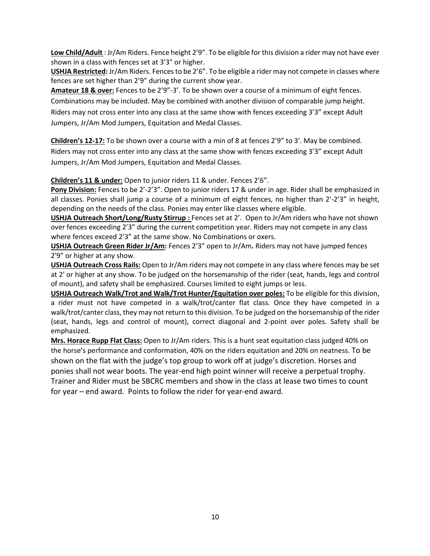**Low Child/Adult** : Jr/Am Riders. Fence height 2'9". To be eligible for this division a rider may not have ever shown in a class with fences set at 3'3" or higher.

**USHJA Restricted:** Jr/Am Riders. Fences to be 2'6". To be eligible a rider may not compete in classes where fences are set higher than 2'9" during the current show year.

**Amateur 18 & over:** Fences to be 2'9"-3'. To be shown over a course of a minimum of eight fences. Combinations may be included. May be combined with another division of comparable jump height. Riders may not cross enter into any class at the same show with fences exceeding 3'3" except Adult Jumpers, Jr/Am Mod Jumpers, Equitation and Medal Classes.

**Children's 12-17:** To be shown over a course with a min of 8 at fences 2'9" to 3'. May be combined. Riders may not cross enter into any class at the same show with fences exceeding 3'3" except Adult Jumpers, Jr/Am Mod Jumpers, Equitation and Medal Classes.

**Children's 11 & under:** Open to junior riders 11 & under. Fences 2'6".

**Pony Division:** Fences to be 2'-2'3". Open to junior riders 17 & under in age. Rider shall be emphasized in all classes. Ponies shall jump a course of a minimum of eight fences, no higher than 2'-2'3" in height, depending on the needs of the class. Ponies may enter like classes where eligible.

**USHJA Outreach Short/Long/Rusty Stirrup :** Fences set at 2'. Open to Jr/Am riders who have not shown over fences exceeding 2'3" during the current competition year. Riders may not compete in any class where fences exceed 2'3" at the same show. No Combinations or oxers.

**USHJA Outreach Green Rider Jr/Am:** Fences 2'3" open to Jr/Am**.** Riders may not have jumped fences 2'9" or higher at any show.

**USHJA Outreach Cross Rails:** Open to Jr/Am riders may not compete in any class where fences may be set at 2' or higher at any show. To be judged on the horsemanship of the rider (seat, hands, legs and control of mount), and safety shall be emphasized. Courses limited to eight jumps or less.

**USHJA Outreach Walk/Trot and Walk/Trot Hunter/Equitation over poles:** To be eligible for this division, a rider must not have competed in a walk/trot/canter flat class. Once they have competed in a walk/trot/canter class, they may not return to this division. To be judged on the horsemanship of the rider (seat, hands, legs and control of mount), correct diagonal and 2-point over poles. Safety shall be emphasized.

**Mrs. Horace Rupp Flat Class:** Open to Jr/Am riders. This is a hunt seat equitation class judged 40% on the horse's performance and conformation, 40% on the riders equitation and 20% on neatness. To be shown on the flat with the judge's top group to work off at judge's discretion. Horses and ponies shall not wear boots. The year-end high point winner will receive a perpetual trophy. Trainer and Rider must be SBCRC members and show in the class at lease two times to count for year – end award. Points to follow the rider for year-end award.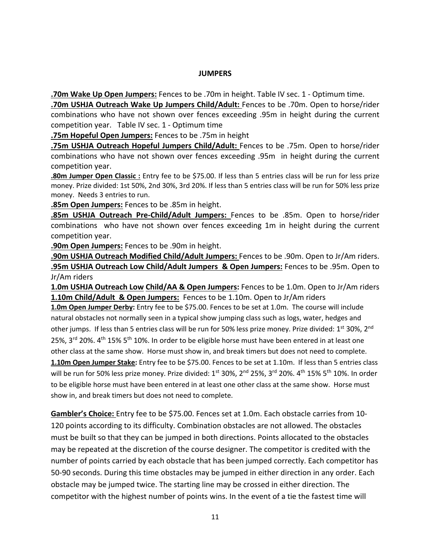#### **JUMPERS**

**.70m Wake Up Open Jumpers:** Fences to be .70m in height. Table IV sec. 1 - Optimum time.

**.70m USHJA Outreach Wake Up Jumpers Child/Adult:** Fences to be .70m. Open to horse/rider combinations who have not shown over fences exceeding .95m in height during the current competition year. Table IV sec. 1 - Optimum time

**.75m Hopeful Open Jumpers:** Fences to be .75m in height

**.75m USHJA Outreach Hopeful Jumpers Child/Adult:** Fences to be .75m. Open to horse/rider combinations who have not shown over fences exceeding .95m in height during the current competition year.

**.80m Jumper Open Classic :** Entry fee to be \$75.00. If less than 5 entries class will be run for less prize money. Prize divided: 1st 50%, 2nd 30%, 3rd 20%. If less than 5 entries class will be run for 50% less prize money. Needs 3 entries to run.

**.85m Open Jumpers:** Fences to be .85m in height.

**.85m USHJA Outreach Pre-Child/Adult Jumpers:** Fences to be .85m. Open to horse/rider combinations who have not shown over fences exceeding 1m in height during the current competition year.

**.90m Open Jumpers:** Fences to be .90m in height.

**.90m USHJA Outreach Modified Child/Adult Jumpers:** Fences to be .90m. Open to Jr/Am riders. **.95m USHJA Outreach Low Child/Adult Jumpers & Open Jumpers:** Fences to be .95m. Open to Jr/Am riders

**1.0m USHJA Outreach Low Child/AA & Open Jumpers:** Fences to be 1.0m. Open to Jr/Am riders **1.10m Child/Adult & Open Jumpers:** Fences to be 1.10m. Open to Jr/Am riders

**1.0m Open Jumper Derby:** Entry fee to be \$75.00. Fences to be set at 1.0m. The course will include natural obstacles not normally seen in a typical show jumping class such as logs, water, hedges and other jumps. If less than 5 entries class will be run for 50% less prize money. Prize divided: 1<sup>st</sup> 30%, 2<sup>nd</sup> 25%, 3<sup>rd</sup> 20%.  $4<sup>th</sup>$  15% 5<sup>th</sup> 10%. In order to be eligible horse must have been entered in at least one other class at the same show. Horse must show in, and break timers but does not need to complete.

**1.10m Open Jumper Stake:** Entry fee to be \$75.00. Fences to be set at 1.10m. If less than 5 entries class will be run for 50% less prize money. Prize divided: 1<sup>st</sup> 30%, 2<sup>nd</sup> 25%, 3<sup>rd</sup> 20%. 4<sup>th</sup> 15% 5<sup>th</sup> 10%. In order to be eligible horse must have been entered in at least one other class at the same show. Horse must show in, and break timers but does not need to complete.

**Gambler's Choice:** Entry fee to be \$75.00. Fences set at 1.0m. Each obstacle carries from 10- 120 points according to its difficulty. Combination obstacles are not allowed. The obstacles must be built so that they can be jumped in both directions. Points allocated to the obstacles may be repeated at the discretion of the course designer. The competitor is credited with the number of points carried by each obstacle that has been jumped correctly. Each competitor has 50-90 seconds. During this time obstacles may be jumped in either direction in any order. Each obstacle may be jumped twice. The starting line may be crossed in either direction. The competitor with the highest number of points wins. In the event of a tie the fastest time will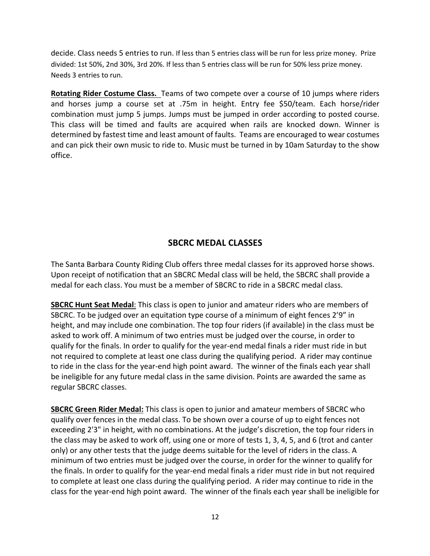decide. Class needs 5 entries to run. If less than 5 entries class will be run for less prize money. Prize divided: 1st 50%, 2nd 30%, 3rd 20%. If less than 5 entries class will be run for 50% less prize money. Needs 3 entries to run.

**Rotating Rider Costume Class.** Teams of two compete over a course of 10 jumps where riders and horses jump a course set at .75m in height. Entry fee \$50/team. Each horse/rider combination must jump 5 jumps. Jumps must be jumped in order according to posted course. This class will be timed and faults are acquired when rails are knocked down. Winner is determined by fastest time and least amount of faults. Teams are encouraged to wear costumes and can pick their own music to ride to. Music must be turned in by 10am Saturday to the show office.

# **SBCRC MEDAL CLASSES**

The Santa Barbara County Riding Club offers three medal classes for its approved horse shows. Upon receipt of notification that an SBCRC Medal class will be held, the SBCRC shall provide a medal for each class. You must be a member of SBCRC to ride in a SBCRC medal class.

**SBCRC Hunt Seat Medal**: This class is open to junior and amateur riders who are members of SBCRC. To be judged over an equitation type course of a minimum of eight fences 2'9" in height, and may include one combination. The top four riders (if available) in the class must be asked to work off. A minimum of two entries must be judged over the course, in order to qualify for the finals. In order to qualify for the year-end medal finals a rider must ride in but not required to complete at least one class during the qualifying period. A rider may continue to ride in the class for the year-end high point award. The winner of the finals each year shall be ineligible for any future medal class in the same division. Points are awarded the same as regular SBCRC classes.

**SBCRC Green Rider Medal:** This class is open to junior and amateur members of SBCRC who qualify over fences in the medal class. To be shown over a course of up to eight fences not exceeding 2'3" in height, with no combinations. At the judge's discretion, the top four riders in the class may be asked to work off, using one or more of tests 1, 3, 4, 5, and 6 (trot and canter only) or any other tests that the judge deems suitable for the level of riders in the class. A minimum of two entries must be judged over the course, in order for the winner to qualify for the finals. In order to qualify for the year-end medal finals a rider must ride in but not required to complete at least one class during the qualifying period. A rider may continue to ride in the class for the year-end high point award. The winner of the finals each year shall be ineligible for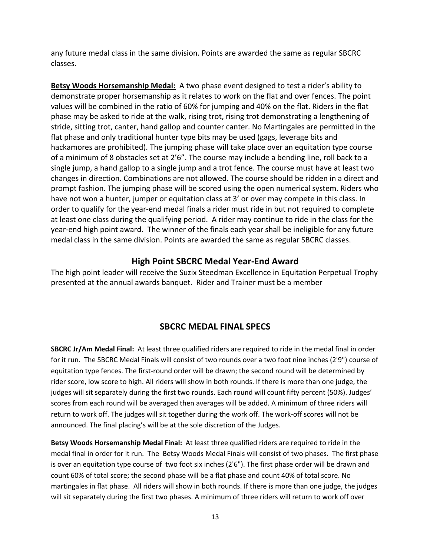any future medal class in the same division. Points are awarded the same as regular SBCRC classes.

**Betsy Woods Horsemanship Medal:** A two phase event designed to test a rider's ability to demonstrate proper horsemanship as it relates to work on the flat and over fences. The point values will be combined in the ratio of 60% for jumping and 40% on the flat. Riders in the flat phase may be asked to ride at the walk, rising trot, rising trot demonstrating a lengthening of stride, sitting trot, canter, hand gallop and counter canter. No Martingales are permitted in the flat phase and only traditional hunter type bits may be used (gags, leverage bits and hackamores are prohibited). The jumping phase will take place over an equitation type course of a minimum of 8 obstacles set at 2'6". The course may include a bending line, roll back to a single jump, a hand gallop to a single jump and a trot fence. The course must have at least two changes in direction. Combinations are not allowed. The course should be ridden in a direct and prompt fashion. The jumping phase will be scored using the open numerical system. Riders who have not won a hunter, jumper or equitation class at 3' or over may compete in this class. In order to qualify for the year-end medal finals a rider must ride in but not required to complete at least one class during the qualifying period. A rider may continue to ride in the class for the year-end high point award. The winner of the finals each year shall be ineligible for any future medal class in the same division. Points are awarded the same as regular SBCRC classes.

## **High Point SBCRC Medal Year-End Award**

The high point leader will receive the Suzix Steedman Excellence in Equitation Perpetual Trophy presented at the annual awards banquet. Rider and Trainer must be a member

## **SBCRC MEDAL FINAL SPECS**

**SBCRC Jr/Am Medal Final:** At least three qualified riders are required to ride in the medal final in order for it run. The SBCRC Medal Finals will consist of two rounds over a two foot nine inches (2'9") course of equitation type fences. The first-round order will be drawn; the second round will be determined by rider score, low score to high. All riders will show in both rounds. If there is more than one judge, the judges will sit separately during the first two rounds. Each round will count fifty percent (50%). Judges' scores from each round will be averaged then averages will be added. A minimum of three riders will return to work off. The judges will sit together during the work off. The work-off scores will not be announced. The final placing's will be at the sole discretion of the Judges.

**Betsy Woods Horsemanship Medal Final:** At least three qualified riders are required to ride in the medal final in order for it run. The Betsy Woods Medal Finals will consist of two phases. The first phase is over an equitation type course of two foot six inches (2'6"). The first phase order will be drawn and count 60% of total score; the second phase will be a flat phase and count 40% of total score. No martingales in flat phase. All riders will show in both rounds. If there is more than one judge, the judges will sit separately during the first two phases. A minimum of three riders will return to work off over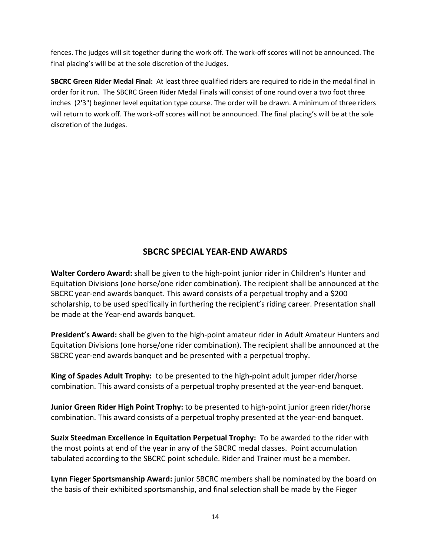fences. The judges will sit together during the work off. The work-off scores will not be announced. The final placing's will be at the sole discretion of the Judges.

**SBCRC Green Rider Medal Final:** At least three qualified riders are required to ride in the medal final in order for it run. The SBCRC Green Rider Medal Finals will consist of one round over a two foot three inches (2'3") beginner level equitation type course. The order will be drawn. A minimum of three riders will return to work off. The work-off scores will not be announced. The final placing's will be at the sole discretion of the Judges.

# **SBCRC SPECIAL YEAR-END AWARDS**

**Walter Cordero Award:** shall be given to the high-point junior rider in Children's Hunter and Equitation Divisions (one horse/one rider combination). The recipient shall be announced at the SBCRC year-end awards banquet. This award consists of a perpetual trophy and a \$200 scholarship, to be used specifically in furthering the recipient's riding career. Presentation shall be made at the Year-end awards banquet.

**President's Award:** shall be given to the high-point amateur rider in Adult Amateur Hunters and Equitation Divisions (one horse/one rider combination). The recipient shall be announced at the SBCRC year-end awards banquet and be presented with a perpetual trophy.

**King of Spades Adult Trophy:** to be presented to the high-point adult jumper rider/horse combination. This award consists of a perpetual trophy presented at the year-end banquet.

**Junior Green Rider High Point Trophy:** to be presented to high-point junior green rider/horse combination. This award consists of a perpetual trophy presented at the year-end banquet.

**Suzix Steedman Excellence in Equitation Perpetual Trophy:** To be awarded to the rider with the most points at end of the year in any of the SBCRC medal classes. Point accumulation tabulated according to the SBCRC point schedule. Rider and Trainer must be a member.

**Lynn Fieger Sportsmanship Award:** junior SBCRC members shall be nominated by the board on the basis of their exhibited sportsmanship, and final selection shall be made by the Fieger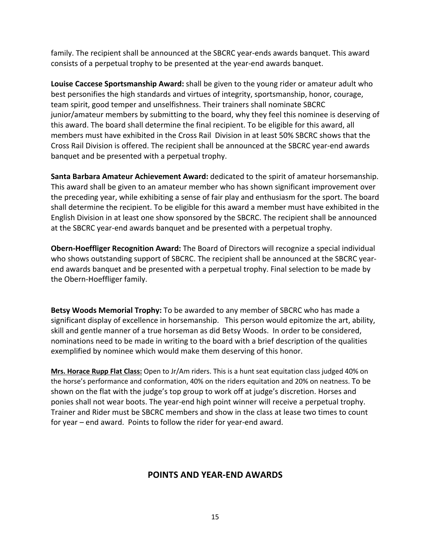family. The recipient shall be announced at the SBCRC year-ends awards banquet. This award consists of a perpetual trophy to be presented at the year-end awards banquet.

**Louise Caccese Sportsmanship Award:** shall be given to the young rider or amateur adult who best personifies the high standards and virtues of integrity, sportsmanship, honor, courage, team spirit, good temper and unselfishness. Their trainers shall nominate SBCRC junior/amateur members by submitting to the board, why they feel this nominee is deserving of this award. The board shall determine the final recipient. To be eligible for this award, all members must have exhibited in the Cross Rail Division in at least 50% SBCRC shows that the Cross Rail Division is offered. The recipient shall be announced at the SBCRC year-end awards banquet and be presented with a perpetual trophy.

**Santa Barbara Amateur Achievement Award:** dedicated to the spirit of amateur horsemanship. This award shall be given to an amateur member who has shown significant improvement over the preceding year, while exhibiting a sense of fair play and enthusiasm for the sport. The board shall determine the recipient. To be eligible for this award a member must have exhibited in the English Division in at least one show sponsored by the SBCRC. The recipient shall be announced at the SBCRC year-end awards banquet and be presented with a perpetual trophy.

**Obern-Hoeffliger Recognition Award:** The Board of Directors will recognize a special individual who shows outstanding support of SBCRC. The recipient shall be announced at the SBCRC yearend awards banquet and be presented with a perpetual trophy. Final selection to be made by the Obern-Hoeffliger family.

**Betsy Woods Memorial Trophy:** To be awarded to any member of SBCRC who has made a significant display of excellence in horsemanship. This person would epitomize the art, ability, skill and gentle manner of a true horseman as did Betsy Woods. In order to be considered, nominations need to be made in writing to the board with a brief description of the qualities exemplified by nominee which would make them deserving of this honor.

**Mrs. Horace Rupp Flat Class:** Open to Jr/Am riders. This is a hunt seat equitation class judged 40% on the horse's performance and conformation, 40% on the riders equitation and 20% on neatness. To be shown on the flat with the judge's top group to work off at judge's discretion. Horses and ponies shall not wear boots. The year-end high point winner will receive a perpetual trophy. Trainer and Rider must be SBCRC members and show in the class at lease two times to count for year – end award. Points to follow the rider for year-end award.

## **POINTS AND YEAR-END AWARDS**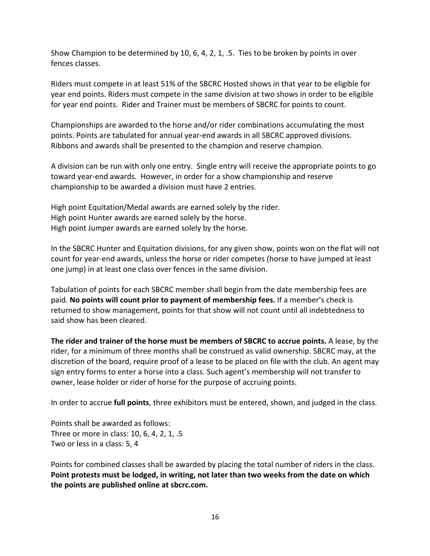Show Champion to be determined by 10, 6, 4, 2, 1, .5. Ties to be broken by points in over fences classes.

Riders must compete in at least 51% of the SBCRC Hosted shows in that year to be eligible for year end points. Riders must compete in the same division at two shows in order to be eligible for year end points. Rider and Trainer must be members of SBCRC for points to count.

Championships are awarded to the horse and/or rider combinations accumulating the most points. Points are tabulated for annual year-end awards in all SBCRC approved divisions. Ribbons and awards shall be presented to the champion and reserve champion.

A division can be run with only one entry. Single entry will receive the appropriate points to go toward year-end awards. However, in order for a show championship and reserve championship to be awarded a division must have 2 entries.

High point Equitation/Medal awards are earned solely by the rider. High point Hunter awards are earned solely by the horse. High point Jumper awards are earned solely by the horse.

In the SBCRC Hunter and Equitation divisions, for any given show, points won on the flat will not count for year-end awards, unless the horse or rider competes (horse to have jumped at least one jump) in at least one class over fences in the same division.

Tabulation of points for each SBCRC member shall begin from the date membership fees are paid. **No points will count prior to payment of membership fees.** If a member's check is returned to show management, points for that show will not count until all indebtedness to said show has been cleared.

**The rider and trainer of the horse must be members of SBCRC to accrue points.** A lease, by the rider, for a minimum of three months shall be construed as valid ownership. SBCRC may, at the discretion of the board, require proof of a lease to be placed on file with the club. An agent may sign entry forms to enter a horse into a class. Such agent's membership will not transfer to owner, lease holder or rider of horse for the purpose of accruing points.

In order to accrue **full points**, three exhibitors must be entered, shown, and judged in the class.

Points shall be awarded as follows: Three or more in class: 10, 6, 4, 2, 1, .5 Two or less in a class: 5, 4

Points for combined classes shall be awarded by placing the total number of riders in the class. **Point protests must be lodged, in writing, not later than two weeks from the date on which the points are published online at sbcrc.com.**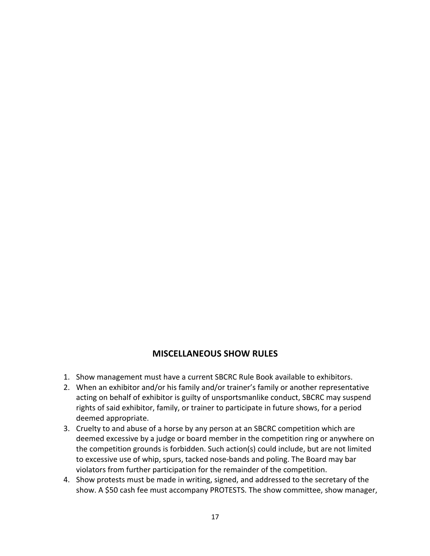# **MISCELLANEOUS SHOW RULES**

- 1. Show management must have a current SBCRC Rule Book available to exhibitors.
- 2. When an exhibitor and/or his family and/or trainer's family or another representative acting on behalf of exhibitor is guilty of unsportsmanlike conduct, SBCRC may suspend rights of said exhibitor, family, or trainer to participate in future shows, for a period deemed appropriate.
- 3. Cruelty to and abuse of a horse by any person at an SBCRC competition which are deemed excessive by a judge or board member in the competition ring or anywhere on the competition grounds is forbidden. Such action(s) could include, but are not limited to excessive use of whip, spurs, tacked nose-bands and poling. The Board may bar violators from further participation for the remainder of the competition.
- 4. Show protests must be made in writing, signed, and addressed to the secretary of the show. A \$50 cash fee must accompany PROTESTS. The show committee, show manager,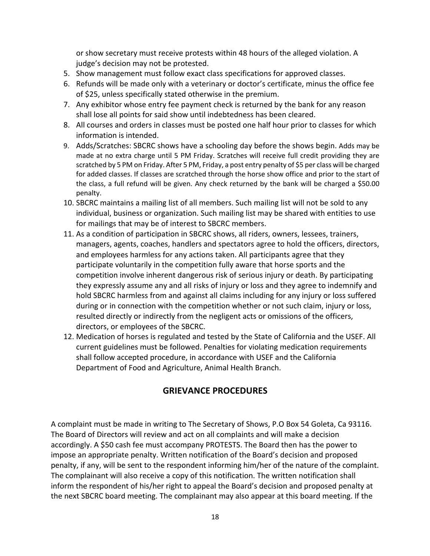or show secretary must receive protests within 48 hours of the alleged violation. A judge's decision may not be protested.

- 5. Show management must follow exact class specifications for approved classes.
- 6. Refunds will be made only with a veterinary or doctor's certificate, minus the office fee of \$25, unless specifically stated otherwise in the premium.
- 7. Any exhibitor whose entry fee payment check is returned by the bank for any reason shall lose all points for said show until indebtedness has been cleared.
- 8. All courses and orders in classes must be posted one half hour prior to classes for which information is intended.
- 9. Adds/Scratches: SBCRC shows have a schooling day before the shows begin. Adds may be made at no extra charge until 5 PM Friday. Scratches will receive full credit providing they are scratched by 5 PM on Friday. After 5 PM, Friday, a post entry penalty of \$5 per class will be charged for added classes. If classes are scratched through the horse show office and prior to the start of the class, a full refund will be given. Any check returned by the bank will be charged a \$50.00 penalty.
- 10. SBCRC maintains a mailing list of all members. Such mailing list will not be sold to any individual, business or organization. Such mailing list may be shared with entities to use for mailings that may be of interest to SBCRC members.
- 11. As a condition of participation in SBCRC shows, all riders, owners, lessees, trainers, managers, agents, coaches, handlers and spectators agree to hold the officers, directors, and employees harmless for any actions taken. All participants agree that they participate voluntarily in the competition fully aware that horse sports and the competition involve inherent dangerous risk of serious injury or death. By participating they expressly assume any and all risks of injury or loss and they agree to indemnify and hold SBCRC harmless from and against all claims including for any injury or loss suffered during or in connection with the competition whether or not such claim, injury or loss, resulted directly or indirectly from the negligent acts or omissions of the officers, directors, or employees of the SBCRC.
- 12. Medication of horses is regulated and tested by the State of California and the USEF. All current guidelines must be followed. Penalties for violating medication requirements shall follow accepted procedure, in accordance with USEF and the California Department of Food and Agriculture, Animal Health Branch.

# **GRIEVANCE PROCEDURES**

A complaint must be made in writing to The Secretary of Shows, P.O Box 54 Goleta, Ca 93116. The Board of Directors will review and act on all complaints and will make a decision accordingly. A \$50 cash fee must accompany PROTESTS. The Board then has the power to impose an appropriate penalty. Written notification of the Board's decision and proposed penalty, if any, will be sent to the respondent informing him/her of the nature of the complaint. The complainant will also receive a copy of this notification. The written notification shall inform the respondent of his/her right to appeal the Board's decision and proposed penalty at the next SBCRC board meeting. The complainant may also appear at this board meeting. If the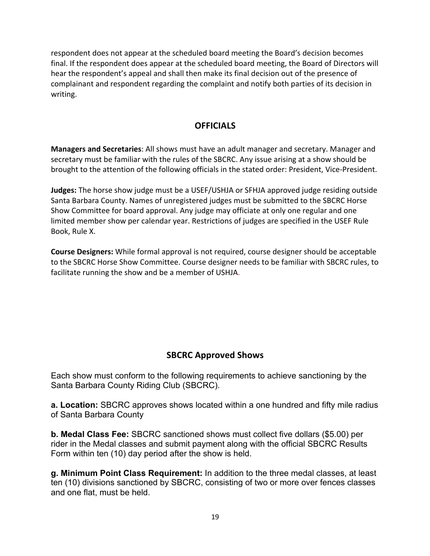respondent does not appear at the scheduled board meeting the Board's decision becomes final. If the respondent does appear at the scheduled board meeting, the Board of Directors will hear the respondent's appeal and shall then make its final decision out of the presence of complainant and respondent regarding the complaint and notify both parties of its decision in writing.

# **OFFICIALS**

**Managers and Secretaries**: All shows must have an adult manager and secretary. Manager and secretary must be familiar with the rules of the SBCRC. Any issue arising at a show should be brought to the attention of the following officials in the stated order: President, Vice-President.

**Judges:** The horse show judge must be a USEF/USHJA or SFHJA approved judge residing outside Santa Barbara County. Names of unregistered judges must be submitted to the SBCRC Horse Show Committee for board approval. Any judge may officiate at only one regular and one limited member show per calendar year. Restrictions of judges are specified in the USEF Rule Book, Rule X.

**Course Designers:** While formal approval is not required, course designer should be acceptable to the SBCRC Horse Show Committee. Course designer needs to be familiar with SBCRC rules, to facilitate running the show and be a member of USHJA.

# **SBCRC Approved Shows**

Each show must conform to the following requirements to achieve sanctioning by the Santa Barbara County Riding Club (SBCRC).

**a. Location:** SBCRC approves shows located within a one hundred and fifty mile radius of Santa Barbara County

**b. Medal Class Fee:** SBCRC sanctioned shows must collect five dollars (\$5.00) per rider in the Medal classes and submit payment along with the official SBCRC Results Form within ten (10) day period after the show is held.

**g. Minimum Point Class Requirement:** In addition to the three medal classes, at least ten (10) divisions sanctioned by SBCRC, consisting of two or more over fences classes and one flat, must be held.